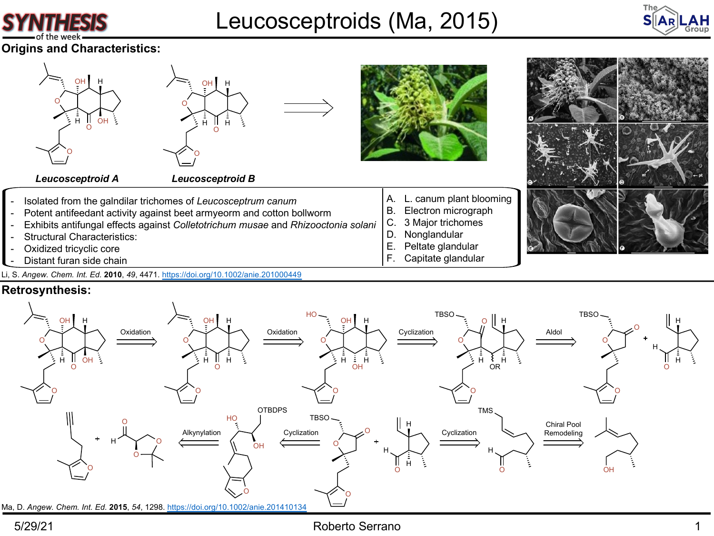

# [Leucosce](https://doi.org/10.1002/anie.201000449)ptroids (Ma, 2015)

**Origins and Characteristics:**



Li, S. *Angew. Chem. Int. Ed.* **2010**, *49*, 4471. https://doi.org/10.1002/anie.201000449

## **Retrosynthesis:**

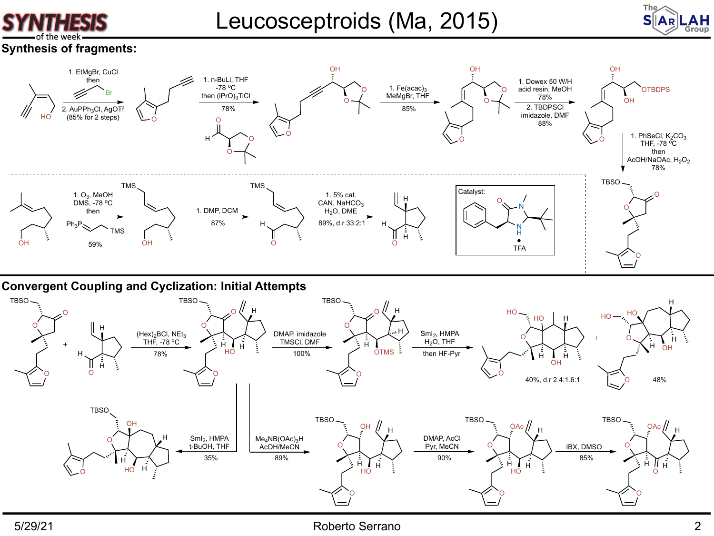

Leucosceptroids (Ma, 2015)



## **Synthesis of fragments:**